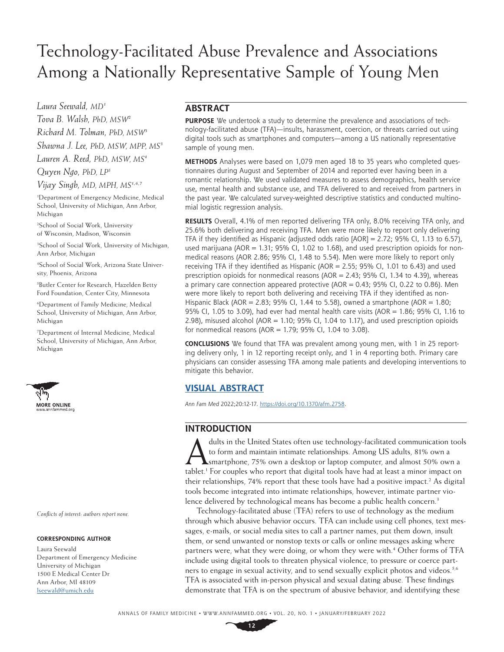# Technology-Facilitated Abuse Prevalence and Associations Among a Nationally Representative Sample of Young Men

*Laura Seewald, MD1*

*Tova B. Walsh, PhD, MSW2 Richard M. Tolman, PhD, MSW3 Shawna J. Lee, PhD, MSW, MPP, MS3 Lauren A. Reed, PhD, MSW, MS4*

*Quyen Ngo, PhD, LP5*

*Vijay Singh, MD, MPH, MS1,6,7*

1 Department of Emergency Medicine, Medical School, University of Michigan, Ann Arbor, Michigan

2 School of Social Work, University of Wisconsin, Madison, Wisconsin

3 School of Social Work, University of Michigan, Ann Arbor, Michigan

4 School of Social Work, Arizona State University, Phoenix, Arizona

5 Butler Center for Research, Hazelden Betty Ford Foundation, Center City, Minnesota

6 Department of Family Medicine, Medical School, University of Michigan, Ann Arbor, Michigan

7 Department of Internal Medicine, Medical School, University of Michigan, Ann Arbor, Michigan



*Conflicts of interest: authors report none.*

#### **CORRESPONDING AUTHOR**

Laura Seewald Department of Emergency Medicine University of Michigan 1500 E Medical Center Dr Ann Arbor, MI 48109 [lseewald@umich.edu](mailto:lseewald%40umich.edu?subject=)

# **ABSTRACT**

**PURPOSE** We undertook a study to determine the prevalence and associations of technology-facilitated abuse (TFA)—insults, harassment, coercion, or threats carried out using digital tools such as smartphones and computers—among a US nationally representative sample of young men.

**METHODS** Analyses were based on 1,079 men aged 18 to 35 years who completed questionnaires during August and September of 2014 and reported ever having been in a romantic relationship. We used validated measures to assess demographics, health service use, mental health and substance use, and TFA delivered to and received from partners in the past year. We calculated survey-weighted descriptive statistics and conducted multinomial logistic regression analysis.

**RESULTS** Overall, 4.1% of men reported delivering TFA only, 8.0% receiving TFA only, and 25.6% both delivering and receiving TFA. Men were more likely to report only delivering TFA if they identified as Hispanic (adjusted odds ratio  $[AOR] = 2.72$ ; 95% CI, 1.13 to 6.57), used marijuana ( $AOR = 1.31$ ; 95% CI, 1.02 to 1.68), and used prescription opioids for nonmedical reasons (AOR 2.86; 95% CI, 1.48 to 5.54). Men were more likely to report only receiving TFA if they identified as Hispanic (AOR = 2.55; 95% CI, 1.01 to 6.43) and used prescription opioids for nonmedical reasons ( $AOR = 2.43$ ; 95% CI, 1.34 to 4.39), whereas a primary care connection appeared protective (AOR =  $0.43$ ; 95% CI, 0.22 to 0.86). Men were more likely to report both delivering and receiving TFA if they identified as non-Hispanic Black (AOR = 2.83; 95% CI, 1.44 to 5.58), owned a smartphone (AOR = 1.80; 95% CI, 1.05 to 3.09), had ever had mental health care visits (AOR=1.86; 95% CI, 1.16 to 2.98), misused alcohol ( $AOR = 1.10$ ; 95% CI, 1.04 to 1.17), and used prescription opioids for nonmedical reasons (AOR = 1.79; 95% CI, 1.04 to 3.08).

**CONCLUSIONS** We found that TFA was prevalent among young men, with 1 in 25 reporting delivery only, 1 in 12 reporting receipt only, and 1 in 4 reporting both. Primary care physicians can consider assessing TFA among male patients and developing interventions to mitigate this behavior.

# **[VISUAL ABSTRACT](https://www.AnnFamMed.org/lookup/suppl/doi:10.1370/afm.2758/-/DC2)**

*Ann Fam Med* 2022;20:12-17. [https://doi.org/10.1370/afm.2758.](https://doi.org/10.1370/afm.2758)

## **INTRODUCTION**

dults in the United States often use technology-facilitated communication tools<br>to form and maintain intimate relationships. Among US adults, 81% own a<br>smartphone, 75% own a desktop or laptop computer, and almost 50% own a to form and maintain intimate relationships. Among US adults, 81% own a tablet.<sup>1</sup> For couples who report that digital tools have had at least a minor impact on their relationships, 74% report that these tools have had a positive impact.<sup>2</sup> As digital tools become integrated into intimate relationships, however, intimate partner violence delivered by technological means has become a public health concern.<sup>3</sup>

Technology-facilitated abuse (TFA) refers to use of technology as the medium through which abusive behavior occurs. TFA can include using cell phones, text messages, e-mails, or social media sites to call a partner names, put them down, insult them, or send unwanted or nonstop texts or calls or online messages asking where partners were, what they were doing, or whom they were with.<sup>4</sup> Other forms of TFA include using digital tools to threaten physical violence, to pressure or coerce partners to engage in sexual activity, and to send sexually explicit photos and videos.<sup>5,6</sup> TFA is associated with in-person physical and sexual dating abuse. These findings demonstrate that TFA is on the spectrum of abusive behavior, and identifying these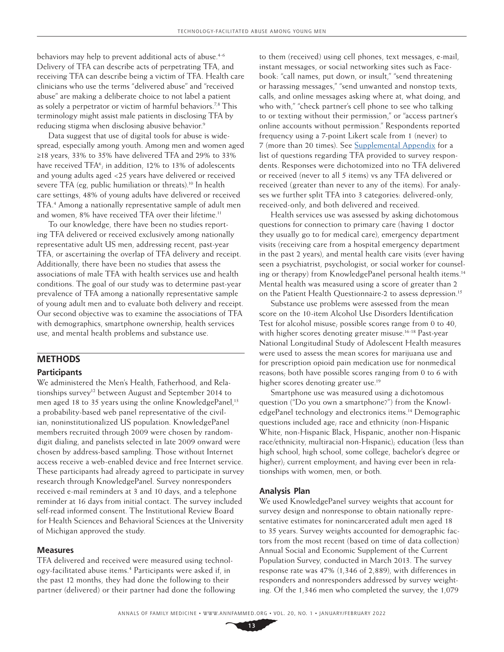behaviors may help to prevent additional acts of abuse.<sup>4-6</sup> Delivery of TFA can describe acts of perpetrating TFA, and receiving TFA can describe being a victim of TFA. Health care clinicians who use the terms "delivered abuse" and "received abuse" are making a deliberate choice to not label a patient as solely a perpetrator or victim of harmful behaviors.<sup>7,8</sup> This terminology might assist male patients in disclosing TFA by reducing stigma when disclosing abusive behavior.<sup>9</sup>

Data suggest that use of digital tools for abuse is widespread, especially among youth. Among men and women aged ≥18 years, 33% to 35% have delivered TFA and 29% to 33% have received  $TFA<sup>6</sup>$ ; in addition, 12% to 13% of adolescents and young adults aged <25 years have delivered or received severe TFA (eg, public humiliation or threats).<sup>10</sup> In health care settings, 48% of young adults have delivered or received TFA.4 Among a nationally representative sample of adult men and women, 8% have received TFA over their lifetime.<sup>11</sup>

To our knowledge, there have been no studies reporting TFA delivered or received exclusively among nationally representative adult US men, addressing recent, past-year TFA, or ascertaining the overlap of TFA delivery and receipt. Additionally, there have been no studies that assess the associations of male TFA with health services use and health conditions. The goal of our study was to determine past-year prevalence of TFA among a nationally representative sample of young adult men and to evaluate both delivery and receipt. Our second objective was to examine the associations of TFA with demographics, smartphone ownership, health services use, and mental health problems and substance use.

# **METHODS**

## **Participants**

We administered the Men's Health, Fatherhood, and Relationships survey<sup>12</sup> between August and September 2014 to men aged 18 to 35 years using the online KnowledgePanel,<sup>13</sup> a probability-based web panel representative of the civilian, noninstitutionalized US population. KnowledgePanel members recruited through 2009 were chosen by randomdigit dialing, and panelists selected in late 2009 onward were chosen by address-based sampling. Those without Internet access receive a web-enabled device and free Internet service. These participants had already agreed to participate in survey research through KnowledgePanel. Survey nonresponders received e-mail reminders at 3 and 10 days, and a telephone reminder at 16 days from initial contact. The survey included self-read informed consent. The Institutional Review Board for Health Sciences and Behavioral Sciences at the University of Michigan approved the study.

#### **Measures**

TFA delivered and received were measured using technology-facilitated abuse items.<sup>4</sup> Participants were asked if, in the past 12 months, they had done the following to their partner (delivered) or their partner had done the following to them (received) using cell phones, text messages, e-mail, instant messages, or social networking sites such as Facebook: "call names, put down, or insult," "send threatening or harassing messages," "send unwanted and nonstop texts, calls, and online messages asking where at, what doing, and who with," "check partner's cell phone to see who talking to or texting without their permission," or "access partner's online accounts without permission." Respondents reported frequency using a 7-point Likert scale from 1 (never) to 7 (more than 20 times). See [Supplemental Appendix](https://www.AnnFamMed.org/lookup/suppl/doi:10.1370/afm.2758/-/DC1) for a list of questions regarding TFA provided to survey respondents. Responses were dichotomized into no TFA delivered or received (never to all 5 items) vs any TFA delivered or received (greater than never to any of the items). For analyses we further split TFA into 3 categories: delivered-only, received-only, and both delivered and received.

Health services use was assessed by asking dichotomous questions for connection to primary care (having 1 doctor they usually go to for medical care), emergency department visits (receiving care from a hospital emergency department in the past 2 years), and mental health care visits (ever having seen a psychiatrist, psychologist, or social worker for counseling or therapy) from KnowledgePanel personal health items.<sup>14</sup> Mental health was measured using a score of greater than 2 on the Patient Health Questionnaire-2 to assess depression.<sup>15</sup>

Substance use problems were assessed from the mean score on the 10-item Alcohol Use Disorders Identification Test for alcohol misuse; possible scores range from 0 to 40, with higher scores denoting greater misuse.<sup>16-18</sup> Past-year National Longitudinal Study of Adolescent Health measures were used to assess the mean scores for marijuana use and for prescription opioid pain medication use for nonmedical reasons; both have possible scores ranging from 0 to 6 with higher scores denoting greater use.<sup>19</sup>

Smartphone use was measured using a dichotomous question ("Do you own a smartphone?") from the KnowledgePanel technology and electronics items.14 Demographic questions included age; race and ethnicity (non-Hispanic White, non-Hispanic Black, Hispanic, another non-Hispanic race/ethnicity, multiracial non-Hispanic); education (less than high school, high school, some college, bachelor's degree or higher); current employment; and having ever been in relationships with women, men, or both.

## **Analysis Plan**

We used KnowledgePanel survey weights that account for survey design and nonresponse to obtain nationally representative estimates for nonincarcerated adult men aged 18 to 35 years. Survey weights accounted for demographic factors from the most recent (based on time of data collection) Annual Social and Economic Supplement of the Current Population Survey, conducted in March 2013. The survey response rate was 47% (1,346 of 2,889), with differences in responders and nonresponders addressed by survey weighting. Of the 1,346 men who completed the survey, the 1,079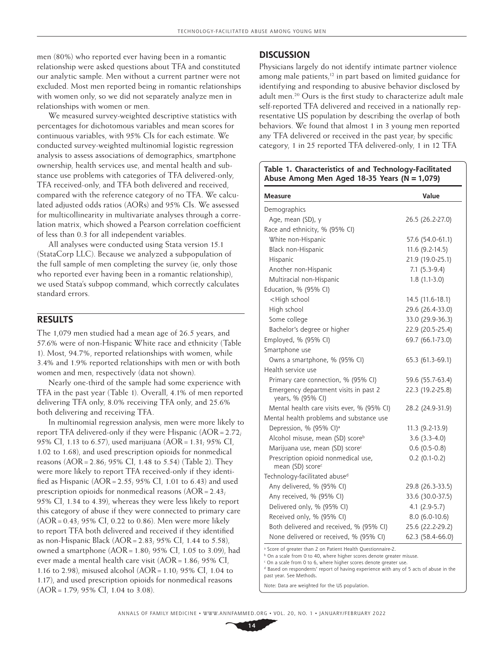men (80%) who reported ever having been in a romantic relationship were asked questions about TFA and constituted our analytic sample. Men without a current partner were not excluded. Most men reported being in romantic relationships with women only, so we did not separately analyze men in relationships with women or men.

We measured survey-weighted descriptive statistics with percentages for dichotomous variables and mean scores for continuous variables, with 95% CIs for each estimate. We conducted survey-weighted multinomial logistic regression analysis to assess associations of demographics, smartphone ownership, health services use, and mental health and substance use problems with categories of TFA delivered-only, TFA received-only, and TFA both delivered and received, compared with the reference category of no TFA. We calculated adjusted odds ratios (AORs) and 95% CIs. We assessed for multicollinearity in multivariate analyses through a correlation matrix, which showed a Pearson correlation coefficient of less than 0.3 for all independent variables.

All analyses were conducted using Stata version 15.1 (StataCorp LLC). Because we analyzed a subpopulation of the full sample of men completing the survey (ie, only those who reported ever having been in a romantic relationship), we used Stata's subpop command, which correctly calculates standard errors.

## **RESULTS**

The 1,079 men studied had a mean age of 26.5 years, and 57.6% were of non-Hispanic White race and ethnicity (Table 1). Most, 94.7%, reported relationships with women, while 3.4% and 1.9% reported relationships with men or with both women and men, respectively (data not shown).

Nearly one-third of the sample had some experience with TFA in the past year (Table 1). Overall, 4.1% of men reported delivering TFA only, 8.0% receiving TFA only, and 25.6% both delivering and receiving TFA.

In multinomial regression analysis, men were more likely to report TFA delivered-only if they were Hispanic  $(AOR = 2.72)$ ; 95% CI, 1.13 to 6.57), used marijuana (AOR=1.31; 95% CI, 1.02 to 1.68), and used prescription opioids for nonmedical reasons (AOR=2.86; 95% CI, 1.48 to 5.54) (Table 2). They were more likely to report TFA received-only if they identified as Hispanic  $(AOR = 2.55, 95\% \text{ CI}, 1.01 \text{ to } 6.43)$  and used prescription opioids for nonmedical reasons  $(AOR = 2.43)$ ; 95% CI, 1.34 to 4.39), whereas they were less likely to report this category of abuse if they were connected to primary care  $(AOR = 0.43; 95\% \text{ CI}, 0.22 \text{ to } 0.86)$ . Men were more likely to report TFA both delivered and received if they identified as non-Hispanic Black  $(AOR = 2.83, 95\% \text{ CI}, 1.44 \text{ to } 5.58)$ , owned a smartphone  $(AOR = 1.80, 95\% \text{ CI}, 1.05 \text{ to } 3.09)$ , had ever made a mental health care visit (AOR=1.86; 95% CI, 1.16 to 2.98), misused alcohol (AOR=1.10; 95% CI, 1.04 to 1.17), and used prescription opioids for nonmedical reasons (AOR=1.79; 95% CI, 1.04 to 3.08).

## **DISCUSSION**

Physicians largely do not identify intimate partner violence among male patients,<sup>12</sup> in part based on limited guidance for identifying and responding to abusive behavior disclosed by adult men.<sup>20</sup> Ours is the first study to characterize adult male self-reported TFA delivered and received in a nationally representative US population by describing the overlap of both behaviors. We found that almost 1 in 3 young men reported any TFA delivered or received in the past year; by specific category, 1 in 25 reported TFA delivered-only, 1 in 12 TFA

#### **Table 1. Characteristics of and Technology-Facilitated Abuse Among Men Aged 18-35 Years (N=1,079)**

| <b>Measure</b>                                                      | Value            |
|---------------------------------------------------------------------|------------------|
| Demographics                                                        |                  |
| Age, mean (SD), y                                                   | 26.5 (26.2-27.0) |
| Race and ethnicity, % (95% CI)                                      |                  |
| White non-Hispanic                                                  | 57.6 (54.0-61.1) |
| Black non-Hispanic                                                  | 11.6 (9.2-14.5)  |
| Hispanic                                                            | 21.9 (19.0-25.1) |
| Another non-Hispanic                                                | $7.1(5.3-9.4)$   |
| Multiracial non-Hispanic                                            | $1.8(1.1-3.0)$   |
| Education, % (95% CI)                                               |                  |
| <high school<="" td=""><td>14.5 (11.6-18.1)</td></high>             | 14.5 (11.6-18.1) |
| High school                                                         | 29.6 (26.4-33.0) |
| Some college                                                        | 33.0 (29.9-36.3) |
| Bachelor's degree or higher                                         | 22.9 (20.5-25.4) |
| Employed, % (95% CI)                                                | 69.7 (66.1-73.0) |
| Smartphone use                                                      |                  |
| Owns a smartphone, % (95% CI)                                       | 65.3 (61.3-69.1) |
| Health service use                                                  |                  |
| Primary care connection, % (95% CI)                                 | 59.6 (55.7-63.4) |
| Emergency department visits in past 2<br>years, % (95% CI)          | 22.3 (19.2-25.8) |
| Mental health care visits ever, % (95% CI)                          | 28.2 (24.9-31.9) |
| Mental health problems and substance use                            |                  |
| Depression, % (95% CI) <sup>a</sup>                                 | 11.3 (9.2-13.9)  |
| Alcohol misuse, mean (SD) score <sup>b</sup>                        | $3.6(3.3-4.0)$   |
| Marijuana use, mean (SD) score <sup>c</sup>                         | $0.6$ (0.5-0.8)  |
| Prescription opioid nonmedical use,<br>mean (SD) score <sup>c</sup> | $0.2$ (0.1-0.2)  |
| Technology-facilitated abuse <sup>d</sup>                           |                  |
| Any delivered, % (95% CI)                                           | 29.8 (26.3-33.5) |
| Any received, % (95% CI)                                            | 33.6 (30.0-37.5) |
| Delivered only, % (95% CI)                                          | $4.1 (2.9-5.7)$  |
| Received only, % (95% CI)                                           | $8.0(6.0-10.6)$  |
| Both delivered and received, % (95% CI)                             | 25.6 (22.2-29.2) |
| None delivered or received, % (95% CI)                              | 62.3 (58.4-66.0) |

a Score of greater than 2 on Patient Health Questionnaire-2.

**b** On a scale from 0 to 40, where higher scores denote greater misuse.

c On a scale from 0 to 6, where higher scores denote greater use.

Based on respondents' report of having experience with any of 5 acts of abuse in the past year. See Methods.

Note: Data are weighted for the US population.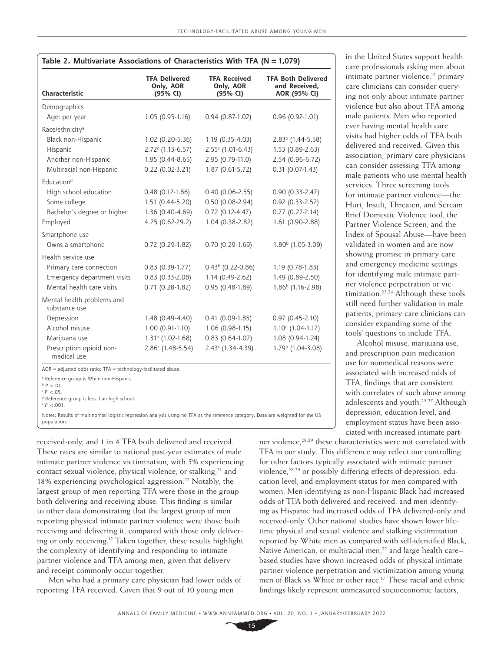| Characteristic                              | <b>TFA Delivered</b><br>Only, AOR<br>(95% CI) | <b>TFA Received</b><br>Only, AOR<br>(95% CI) | <b>TFA Both Delivered</b><br>and Received,<br>AOR (95% CI) |
|---------------------------------------------|-----------------------------------------------|----------------------------------------------|------------------------------------------------------------|
| Demographics                                |                                               |                                              |                                                            |
| Age: per year                               | $1.05(0.95-1.16)$                             | 0.94 (0.87-1.02)                             | 0.96 (0.92-1.01)                                           |
| Race/ethnicity <sup>a</sup>                 |                                               |                                              |                                                            |
| Black non-Hispanic                          | 1.02 (0.20-5.36)                              | 1.19 (0.35-4.03)                             | $2.83b$ (1.44-5.58)                                        |
| Hispanic                                    | $2.72c$ (1.13-6.57)                           | $2.55c$ (1.01-6.43)                          | 1.53 (0.89-2.63)                                           |
| Another non-Hispanic                        | 1.95 (0.44-8.65)                              | 2.95 (0.79-11.0)                             | 2.54 (0.96-6.72)                                           |
| Multiracial non-Hispanic                    | $0.22$ (0.02-3.21)                            | 1.87 (0.61-5.72)                             | $0.31(0.07-1.43)$                                          |
| Education <sup>d</sup>                      |                                               |                                              |                                                            |
| High school education                       | $0.48(0.12-1.86)$                             | $0.40(0.06 - 2.55)$                          | $0.90(0.33 - 2.47)$                                        |
| Some college                                | 1.51 (0.44-5.20)                              | 0.50 (0.08-2.94)                             | $0.92$ (0.33-2.52)                                         |
| Bachelor's degree or higher                 | 1.36 (0.40-4.69)                              | $0.72$ (0.12-4.47)                           | $0.77$ (0.27-2.14)                                         |
| Employed                                    | 4.25 (0.62-29.2)                              | 1.04 (0.38-2.82)                             | 1.61 (0.90-2.88)                                           |
| Smartphone use                              |                                               |                                              |                                                            |
| Owns a smartphone                           | 0.72 (0.29-1.82)                              | 0.70 (0.29-1.69)                             | $1.80b$ (1.05-3.09)                                        |
| Health service use                          |                                               |                                              |                                                            |
| Primary care connection                     | $0.83(0.39-1.77)$                             | $0.43b$ (0.22-0.86)                          | 1.19 (0.78-1.83)                                           |
| Emergency department visits                 | $0.83(0.33 - 2.08)$                           | 1.14 (0.49-2.62)                             | 1.49 (0.89-2.50)                                           |
| Mental health care visits                   | $0.71(0.28-1.82)$                             | 0.95 (0.48-1.89)                             | 1.86 <sup>b</sup> (1.16-2.98)                              |
| Mental health problems and<br>substance use |                                               |                                              |                                                            |
| Depression                                  | 1.48 (0.49-4.40)                              | $0.41(0.09-1.85)$                            | $0.97(0.45 - 2.10)$                                        |
| Alcohol misuse                              | 1.00 (0.91-1.10)                              | 1.06 (0.98-1.15)                             | $1.10^{\circ}$ (1.04-1.17)                                 |
| Marijuana use                               | 1.31 <sup>b</sup> (1.02-1.68)                 | $0.83(0.64-1.07)$                            | 1.08 (0.94-1.24)                                           |
| Prescription opioid non-<br>medical use     | $2.86c$ (1.48-5.54)                           | $2.43c$ (1.34-4.39)                          | 1.79 <sup>b</sup> (1.04-3.08)                              |

a Reference group is White non-Hispanic.

 $b$   $P$  <.01.

 $\epsilon$  *P* <.05. d Reference group is less than high school.

e  *P* <.001.

Notes: Results of multinomial logistic regression analysis using no TFA as the reference category. Data are weighted for the US population.

received-only, and 1 in 4 TFA both delivered and received. These rates are similar to national past-year estimates of male intimate partner violence victimization, with 5% experiencing contact sexual violence, physical violence, or stalking, $21$  and 18% experiencing psychological aggression.<sup>22</sup> Notably, the largest group of men reporting TFA were those in the group both delivering and receiving abuse. This finding is similar to other data demonstrating that the largest group of men reporting physical intimate partner violence were those both receiving and delivering it, compared with those only delivering or only receiving.12 Taken together, these results highlight the complexity of identifying and responding to intimate partner violence and TFA among men, given that delivery and receipt commonly occur together.

Men who had a primary care physician had lower odds of reporting TFA received. Given that 9 out of 10 young men

in the United States support health care professionals asking men about intimate partner violence,<sup>12</sup> primary care clinicians can consider querying not only about intimate partner violence but also about TFA among male patients. Men who reported ever having mental health care visits had higher odds of TFA both delivered and received. Given this association, primary care physicians can consider assessing TFA among male patients who use mental health services. Three screening tools for intimate partner violence—the Hurt, Insult, Threaten, and Scream Brief Domestic Violence tool, the Partner Violence Screen, and the Index of Spousal Abuse—have been validated in women and are now showing promise in primary care and emergency medicine settings for identifying male intimate partner violence perpetration or victimization.<sup>23,24</sup> Although these tools still need further validation in male patients, primary care clinicians can consider expanding some of the tools' questions to include TFA.

Alcohol misuse, marijuana use, and prescription pain medication use for nonmedical reasons were associated with increased odds of TFA, findings that are consistent with correlates of such abuse among adolescents and youth.25-27 Although depression, education level, and employment status have been associated with increased intimate part-

ner violence,<sup>28,29</sup> these characteristics were not correlated with TFA in our study. This difference may reflect our controlling for other factors typically associated with intimate partner violence,<sup>28,29</sup> or possibly differing effects of depression, education level, and employment status for men compared with women. Men identifying as non-Hispanic Black had increased odds of TFA both delivered and received, and men identifying as Hispanic had increased odds of TFA delivered-only and received-only. Other national studies have shown lower lifetime physical and sexual violence and stalking victimization reported by White men as compared with self-identified Black, Native American, or multiracial men, $^{22}$  and large health care– based studies have shown increased odds of physical intimate partner violence perpetration and victimization among young men of Black vs White or other race.17 These racial and ethnic findings likely represent unmeasured socioeconomic factors,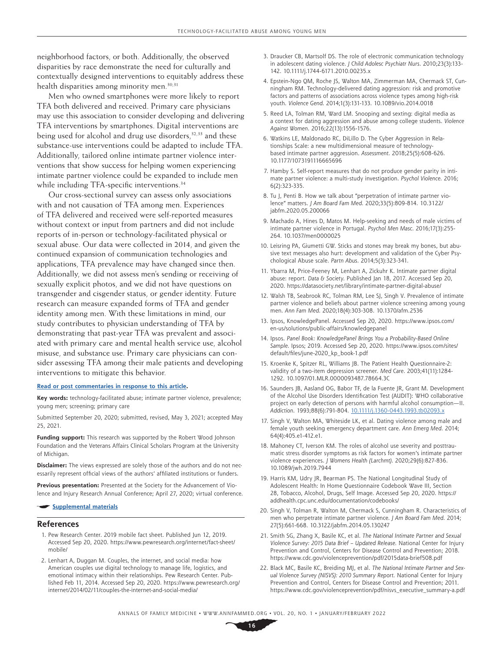neighborhood factors, or both. Additionally, the observed disparities by race demonstrate the need for culturally and contextually designed interventions to equitably address these health disparities among minority men.<sup>30,31</sup>

Men who owned smartphones were more likely to report TFA both delivered and received. Primary care physicians may use this association to consider developing and delivering TFA interventions by smartphones. Digital interventions are being used for alcohol and drug use disorders,<sup>32,33</sup> and these substance-use interventions could be adapted to include TFA. Additionally, tailored online intimate partner violence interventions that show success for helping women experiencing intimate partner violence could be expanded to include men while including TFA-specific interventions.<sup>34</sup>

Our cross-sectional survey can assess only associations with and not causation of TFA among men. Experiences of TFA delivered and received were self-reported measures without context or input from partners and did not include reports of in-person or technology-facilitated physical or sexual abuse. Our data were collected in 2014, and given the continued expansion of communication technologies and applications, TFA prevalence may have changed since then. Additionally, we did not assess men's sending or receiving of sexually explicit photos, and we did not have questions on transgender and cisgender status, or gender identity. Future research can measure expanded forms of TFA and gender identity among men. With these limitations in mind, our study contributes to physician understanding of TFA by demonstrating that past-year TFA was prevalent and associated with primary care and mental health service use, alcohol misuse, and substance use. Primary care physicians can consider assessing TFA among their male patients and developing interventions to mitigate this behavior.

#### **[Read or post commentaries in response to this article](https://www.AnnFamMed.org/content/20/1/12/tab-e-letters).**

**Key words:** technology-facilitated abuse; intimate partner violence, prevalence; young men; screening; primary care

Submitted September 20, 2020; submitted, revised, May 3, 2021; accepted May 25, 2021.

**Funding support:** This research was supported by the Robert Wood Johnson Foundation and the Veterans Affairs Clinical Scholars Program at the University of Michigan.

**Disclaimer:** The views expressed are solely those of the authors and do not necessarily represent official views of the authors' affiliated institutions or funders.

**Previous presentation:** Presented at the Society for the Advancement of Violence and Injury Research Annual Conference; April 27, 2020; virtual conference.

#### **[Supplemental materials](https://www.AnnFamMed.org/lookup/suppl/doi:10.1370/afm.2758/-/DC1)**

#### **References**

- 1. Pew Research Center. 2019 mobile fact sheet. Published Jun 12, 2019. Accessed Sep 20, 2020. [https://www.pewresearch.org/internet/fact-sheet/](https://www.pewresearch.org/internet/fact-sheet/mobile/) [mobile/](https://www.pewresearch.org/internet/fact-sheet/mobile/)
- 2. Lenhart A, Duggan M. Couples, the internet, and social media: how American couples use digital technology to manage life, logistics, and emotional intimacy within their relationships. Pew Research Center. Published Feb 11, 2014. Accessed Sep 20, 2020. [https://www.pewresearch.org/](https://www.pewresearch.org/internet/2014/02/11/couples-the-internet-and-social-media/) [internet/2014/02/11/couples-the-internet-and-social-media/](https://www.pewresearch.org/internet/2014/02/11/couples-the-internet-and-social-media/)
- 3. Draucker CB, Martsolf DS. The role of electronic communication technology in adolescent dating violence. *J Child Adolesc Psychiatr Nurs*. 2010;23(3):133- 142. [10.1111/j.1744-6171.2010.00235.x](http://doi.org/10.1111/j.1744-6171.2010.00235.x)
- 4. Epstein-Ngo QM, Roche JS, Walton MA, Zimmerman MA, Chermack ST, Cunningham RM. Technology-delivered dating aggression: risk and promotive factors and patterns of associations across violence types among high-risk youth. *Violence Gend*. 2014;1(3):131-133. [10.1089/vio.2014.0018](http://doi.org/10.1089/vio.2014.0018)
- 5. Reed LA, Tolman RM, Ward LM. Snooping and sexting: digital media as a context for dating aggression and abuse among college students. *Violence Against Women*. 2016;22(13):1556-1576.
- 6. Watkins LE, Maldonado RC, DiLillo D. The Cyber Aggression in Relationships Scale: a new multidimensional measure of technologybased intimate partner aggression. *Assessment*. 2018;25(5):608-626. [10.1177/1073191116665696](http://doi.org/10.1177/1073191116665696)
- 7. Hamby S. Self-report measures that do not produce gender parity in intimate partner violence: a multi-study investigation. *Psychol Violence*. 2016; 6(2):323-335.
- 8. Tu J, Penti B. How we talk about "perpetration of intimate partner violence" matters. *J Am Board Fam Med*. 2020;33(5):809-814. [10.3122/](http://doi.org/10.3122/jabfm.2020.05.200066) [jabfm.2020.05.200066](http://doi.org/10.3122/jabfm.2020.05.200066)
- 9. Machado A, Hines D, Matos M. Help-seeking and needs of male victims of intimate partner violence in Portugal. *Psychol Men Masc*. 2016;17(3):255- 264. [10.1037/men0000025](http://doi.org/10.1037/men0000025)
- 10. Leisring PA, Giumetti GW. Sticks and stones may break my bones, but abusive text messages also hurt: development and validation of the Cyber Psychological Abuse scale. *Partn Abus*. 2014;5(3):323-341.
- 11. Ybarra M, Price-Feeney M, Lenhart A, Zickuhr K. Intimate partner digital abuse: report. *Data & Society*. Published Jan 18, 2017. Accessed Sep 20, 2020. <https://datasociety.net/library/intimate-partner-digital-abuse/>
- 12. Walsh TB, Seabrook RC, Tolman RM, Lee SJ, Singh V. Prevalence of intimate partner violence and beliefs about partner violence screening among young men. *Ann Fam Med*. 2020;18(4):303-308. [10.1370/afm.2536](http://doi.org/10.1370/afm.2536)
- 13. Ipsos, KnowledgePanel. Accessed Sep 20, 2020. [https://www.ipsos.com/](https://www.ipsos.com/en-us/solutions/public-affairs/knowledgepanel) [en-us/solutions/public-affairs/knowledgepanel](https://www.ipsos.com/en-us/solutions/public-affairs/knowledgepanel)
- 14. Ipsos. *Panel Book: KnowledgePanel Brings You a Probability-Based Online Sample*. Ipsos; 2019. Accessed Sep 20, 2020. [https://www.ipsos.com/sites/](https://www.ipsos.com/sites/default/files/june-2020_kp_book-1.pdf) [default/files/june-2020\\_kp\\_book-1.pdf](https://www.ipsos.com/sites/default/files/june-2020_kp_book-1.pdf)
- 15. Kroenke K, Spitzer RL, Williams JB. The Patient Health Questionnaire-2: validity of a two-item depression screener. *Med Care*. 2003;41(11):1284- 1292. [10.1097/01.MLR.0000093487.78664.3C](http://doi.org/10.1097/01.MLR.0000093487.78664.3C)
- 16. Saunders JB, Aasland OG, Babor TF, de la Fuente JR, Grant M. Development of the Alcohol Use Disorders Identification Test (AUDIT): WHO collaborative project on early detection of persons with harmful alcohol consumption—II. *Addiction*. 1993;88(6):791-804. [10.1111/j.1360-0443.1993.tb02093.x](http://doi.org/10.1111/j.1360-0443.1993.tb02093.x)
- 17. Singh V, Walton MA, Whiteside LK, et al. Dating violence among male and female youth seeking emergency department care. *Ann Emerg Med*. 2014; 64(4):405.e1-412.e1.
- 18. Mahoney CT, Iverson KM. The roles of alcohol use severity and posttraumatic stress disorder symptoms as risk factors for women's intimate partner violence experiences. *J Womens Health (Larchmt)*. 2020;29(6):827-836. [10.1089/jwh.2019.7944](http://doi.org/10.1089/jwh.2019.7944)
- 19. Harris KM, Udry JR, Bearman PS. The National Longitudinal Study of Adolescent Health: In Home Questionnaire Codebook Wave III, Section 28, Tobacco, Alcohol, Drugs, Self Image. Accessed Sep 20, 2020. [https://](https://addhealth.cpc.unc.edu/documentation/codebooks/) [addhealth.cpc.unc.edu/documentation/codebooks/](https://addhealth.cpc.unc.edu/documentation/codebooks/)
- 20. Singh V, Tolman R, Walton M, Chermack S, Cunningham R. Characteristics of men who perpetrate intimate partner violence. *J Am Board Fam Med*. 2014; 27(5):661-668. [10.3122/jabfm.2014.05.130247](http://doi.org/10.3122/jabfm.2014.05.130247)
- 21. Smith SG, Zhang X, Basile KC, et al. *The National Intimate Partner and Sexual Violence Survey: 2015 Data Brief – Updated Release.* National Center for Injury Prevention and Control, Centers for Disease Control and Prevention; 2018. <https://www.cdc.gov/violenceprevention/pdf/2015data-brief508.pdf>
- 22. Black MC, Basile KC, Breiding MJ, et al. *The National Intimate Partner and Sexual Violence Survey (NISVS): 2010 Summary Report.* National Center for Injury Prevention and Control, Centers for Disease Control and Prevention; 2011. [https://www.cdc.gov/violenceprevention/pdf/nisvs\\_executive\\_summary-a.pdf](https://www.cdc.gov/violenceprevention/pdf/nisvs_executive_summary-a.pdf)

ANNALS OF FAMILY MEDICINE ✦ WWW.ANNFAMMED.ORG ✦ VOL. 20, NO. 1 ✦ JANUARY/FEBRUARY 2022